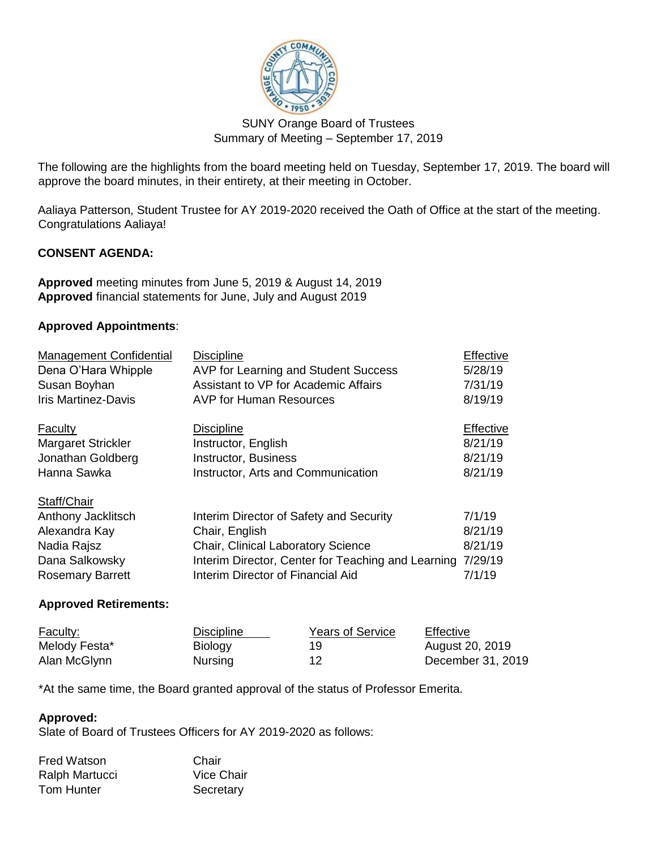

# SUNY Orange Board of Trustees Summary of Meeting – September 17, 2019

The following are the highlights from the board meeting held on Tuesday, September 17, 2019. The board will approve the board minutes, in their entirety, at their meeting in October.

Aaliaya Patterson, Student Trustee for AY 2019-2020 received the Oath of Office at the start of the meeting. Congratulations Aaliaya!

# **CONSENT AGENDA:**

**Approved** meeting minutes from June 5, 2019 & August 14, 2019 **Approved** financial statements for June, July and August 2019

### **Approved Appointments**:

| <b>Management Confidential</b> | <b>Discipline</b>                                  | Effective |
|--------------------------------|----------------------------------------------------|-----------|
| Dena O'Hara Whipple            | AVP for Learning and Student Success               | 5/28/19   |
| Susan Boyhan                   | Assistant to VP for Academic Affairs               | 7/31/19   |
| <b>Iris Martinez-Davis</b>     | <b>AVP for Human Resources</b>                     | 8/19/19   |
| <b>Faculty</b>                 | <b>Discipline</b>                                  | Effective |
| <b>Margaret Strickler</b>      | Instructor, English                                | 8/21/19   |
| Jonathan Goldberg              | Instructor, Business                               | 8/21/19   |
| Hanna Sawka                    | Instructor, Arts and Communication                 | 8/21/19   |
| Staff/Chair                    |                                                    |           |
| Anthony Jacklitsch             | Interim Director of Safety and Security            | 7/1/19    |
| Alexandra Kay                  | Chair, English                                     | 8/21/19   |
| Nadia Rajsz                    | <b>Chair, Clinical Laboratory Science</b>          | 8/21/19   |
| Dana Salkowsky                 | Interim Director, Center for Teaching and Learning | 7/29/19   |
| <b>Rosemary Barrett</b>        | Interim Director of Financial Aid                  | 7/1/19    |

### **Approved Retirements:**

| <b>Faculty:</b> | Discipline     | <b>Years of Service</b> | Effective         |
|-----------------|----------------|-------------------------|-------------------|
| Melody Festa*   | Biology        | 19                      | August 20, 2019   |
| Alan McGlynn    | <b>Nursing</b> |                         | December 31, 2019 |

\*At the same time, the Board granted approval of the status of Professor Emerita.

### **Approved:**

Slate of Board of Trustees Officers for AY 2019-2020 as follows:

| Fred Watson    | Chair             |
|----------------|-------------------|
| Ralph Martucci | <b>Vice Chair</b> |
| Tom Hunter     | Secretary         |